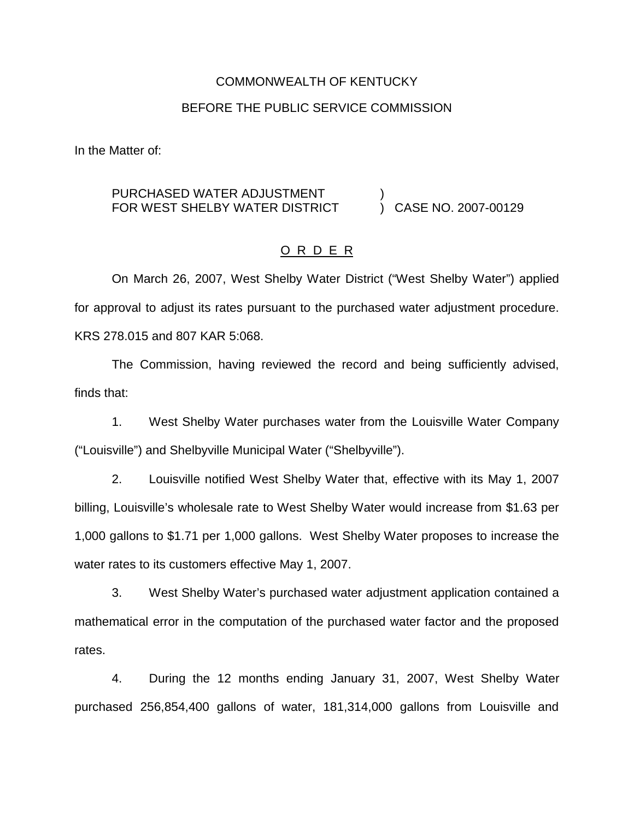# COMMONWEALTH OF KENTUCKY BEFORE THE PUBLIC SERVICE COMMISSION

In the Matter of:

#### PURCHASED WATER ADJUSTMENT FOR WEST SHELBY WATER DISTRICT ) ) CASE NO. 2007-00129

# O R D E R

On March 26, 2007, West Shelby Water District ("West Shelby Water") applied for approval to adjust its rates pursuant to the purchased water adjustment procedure. KRS 278.015 and 807 KAR 5:068.

The Commission, having reviewed the record and being sufficiently advised, finds that:

1. West Shelby Water purchases water from the Louisville Water Company ("Louisville") and Shelbyville Municipal Water ("Shelbyville").

2. Louisville notified West Shelby Water that, effective with its May 1, 2007 billing, Louisville's wholesale rate to West Shelby Water would increase from \$1.63 per 1,000 gallons to \$1.71 per 1,000 gallons. West Shelby Water proposes to increase the water rates to its customers effective May 1, 2007.

3. West Shelby Water's purchased water adjustment application contained a mathematical error in the computation of the purchased water factor and the proposed rates.

4. During the 12 months ending January 31, 2007, West Shelby Water purchased 256,854,400 gallons of water, 181,314,000 gallons from Louisville and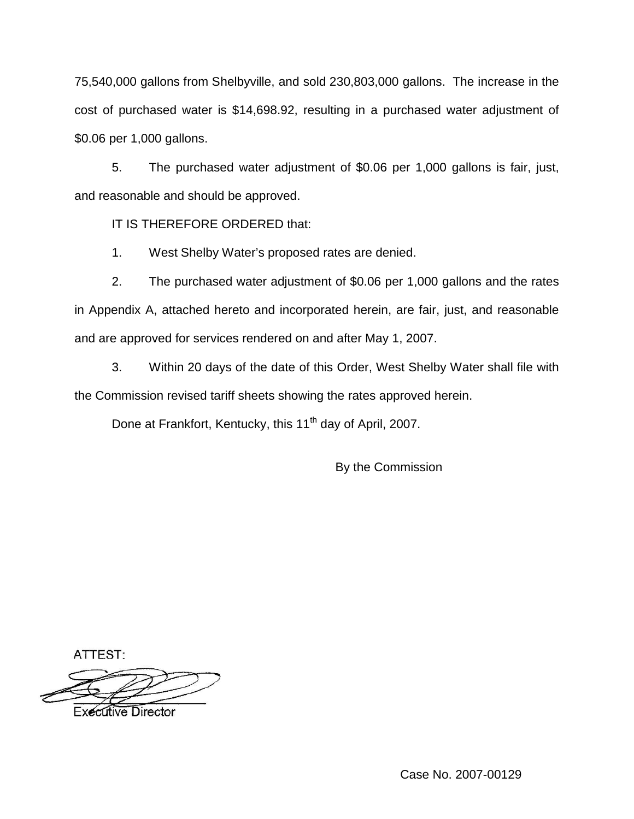75,540,000 gallons from Shelbyville, and sold 230,803,000 gallons. The increase in the cost of purchased water is \$14,698.92, resulting in a purchased water adjustment of \$0.06 per 1,000 gallons.

5. The purchased water adjustment of \$0.06 per 1,000 gallons is fair, just, and reasonable and should be approved.

IT IS THEREFORE ORDERED that:

1. West Shelby Water's proposed rates are denied.

2. The purchased water adjustment of \$0.06 per 1,000 gallons and the rates in Appendix A, attached hereto and incorporated herein, are fair, just, and reasonable and are approved for services rendered on and after May 1, 2007.

3. Within 20 days of the date of this Order, West Shelby Water shall file with the Commission revised tariff sheets showing the rates approved herein.

Done at Frankfort, Kentucky, this 11<sup>th</sup> day of April, 2007.

By the Commission

ATTEST:

**Executive Director** 

Case No. 2007-00129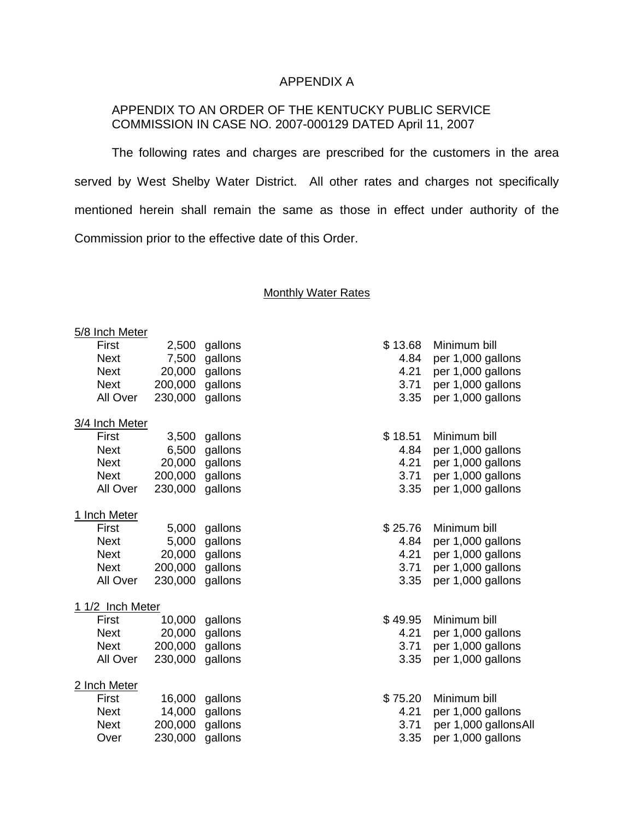### APPENDIX A

## APPENDIX TO AN ORDER OF THE KENTUCKY PUBLIC SERVICE COMMISSION IN CASE NO. 2007-000129 DATED April 11, 2007

The following rates and charges are prescribed for the customers in the area served by West Shelby Water District. All other rates and charges not specifically mentioned herein shall remain the same as those in effect under authority of the Commission prior to the effective date of this Order.

#### **Monthly Water Rates**

| 5/8 Inch Meter   |         |         |         |                      |  |  |
|------------------|---------|---------|---------|----------------------|--|--|
| First            | 2,500   | gallons | \$13.68 | Minimum bill         |  |  |
| <b>Next</b>      | 7,500   | gallons | 4.84    | per 1,000 gallons    |  |  |
| <b>Next</b>      | 20,000  | gallons | 4.21    | per 1,000 gallons    |  |  |
| <b>Next</b>      | 200,000 | gallons | 3.71    | per 1,000 gallons    |  |  |
| All Over         | 230,000 | gallons | 3.35    | per 1,000 gallons    |  |  |
| 3/4 Inch Meter   |         |         |         |                      |  |  |
| First            | 3,500   | gallons | \$18.51 | Minimum bill         |  |  |
| <b>Next</b>      | 6,500   | gallons | 4.84    | per 1,000 gallons    |  |  |
| <b>Next</b>      | 20,000  | gallons | 4.21    | per 1,000 gallons    |  |  |
| <b>Next</b>      | 200,000 | gallons | 3.71    | per 1,000 gallons    |  |  |
| All Over         | 230,000 | gallons | 3.35    | per 1,000 gallons    |  |  |
| 1 Inch Meter     |         |         |         |                      |  |  |
| First            | 5,000   | gallons | \$25.76 | Minimum bill         |  |  |
| <b>Next</b>      | 5,000   | gallons | 4.84    | per 1,000 gallons    |  |  |
| <b>Next</b>      | 20,000  | gallons | 4.21    | per 1,000 gallons    |  |  |
| <b>Next</b>      | 200,000 | gallons | 3.71    | per 1,000 gallons    |  |  |
| All Over         | 230,000 | gallons | 3.35    | per 1,000 gallons    |  |  |
| 1 1/2 Inch Meter |         |         |         |                      |  |  |
| First            | 10,000  | gallons | \$49.95 | Minimum bill         |  |  |
| <b>Next</b>      | 20,000  | gallons | 4.21    | per 1,000 gallons    |  |  |
| <b>Next</b>      | 200,000 | gallons | 3.71    | per 1,000 gallons    |  |  |
| All Over         | 230,000 | gallons | 3.35    | per 1,000 gallons    |  |  |
| 2 Inch Meter     |         |         |         |                      |  |  |
| First            | 16,000  | gallons | \$75.20 | Minimum bill         |  |  |
| <b>Next</b>      | 14,000  | gallons | 4.21    | per 1,000 gallons    |  |  |
| <b>Next</b>      | 200,000 | gallons | 3.71    | per 1,000 gallonsAll |  |  |
| Over             | 230,000 | gallons | 3.35    | per 1,000 gallons    |  |  |